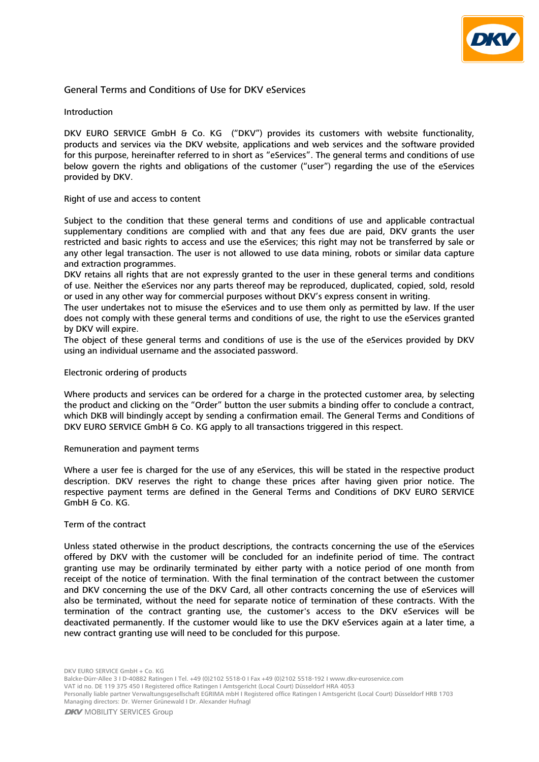

# General Terms and Conditions of Use for DKV eServices

# Introduction

DKV EURO SERVICE GmbH & Co. KG ("DKV") provides its customers with website functionality, products and services via the DKV website, applications and web services and the software provided for this purpose, hereinafter referred to in short as "eServices". The general terms and conditions of use below govern the rights and obligations of the customer ("user") regarding the use of the eServices provided by DKV.

#### Right of use and access to content

Subject to the condition that these general terms and conditions of use and applicable contractual supplementary conditions are complied with and that any fees due are paid, DKV grants the user restricted and basic rights to access and use the eServices; this right may not be transferred by sale or any other legal transaction. The user is not allowed to use data mining, robots or similar data capture and extraction programmes.

DKV retains all rights that are not expressly granted to the user in these general terms and conditions of use. Neither the eServices nor any parts thereof may be reproduced, duplicated, copied, sold, resold or used in any other way for commercial purposes without DKV's express consent in writing.

The user undertakes not to misuse the eServices and to use them only as permitted by law. If the user does not comply with these general terms and conditions of use, the right to use the eServices granted by DKV will expire.

The object of these general terms and conditions of use is the use of the eServices provided by DKV using an individual username and the associated password.

#### Electronic ordering of products

Where products and services can be ordered for a charge in the protected customer area, by selecting the product and clicking on the "Order" button the user submits a binding offer to conclude a contract, which DKB will bindingly accept by sending a confirmation email. The General Terms and Conditions of DKV EURO SERVICE GmbH & Co. KG apply to all transactions triggered in this respect.

#### Remuneration and payment terms

Where a user fee is charged for the use of any eServices, this will be stated in the respective product description. DKV reserves the right to change these prices after having given prior notice. The respective payment terms are defined in the General Terms and Conditions of DKV EURO SERVICE GmbH & Co. KG.

#### Term of the contract

Unless stated otherwise in the product descriptions, the contracts concerning the use of the eServices offered by DKV with the customer will be concluded for an indefinite period of time. The contract granting use may be ordinarily terminated by either party with a notice period of one month from receipt of the notice of termination. With the final termination of the contract between the customer and DKV concerning the use of the DKV Card, all other contracts concerning the use of eServices will also be terminated, without the need for separate notice of termination of these contracts. With the termination of the contract granting use, the customer's access to the DKV eServices will be deactivated permanently. If the customer would like to use the DKV eServices again at a later time, a new contract granting use will need to be concluded for this purpose.

Balcke-Dürr-Allee 3 I D-40882 Ratingen I Tel. +49 (0)2102 5518-0 I Fax +49 (0)2102 5518-192 I www.dkv-euroservice.com

VAT id no. DE 119 375 450 I Registered office Ratingen I Amtsgericht (Local Court) Düsseldorf HRA 4053

Personally liable partner Verwaltungsgesellschaft EGRIMA mbH I Registered office Ratingen I Amtsgericht (Local Court) Düsseldorf HRB 1703 Managing directors: Dr. Werner Grünewald I Dr. Alexander Hufnagl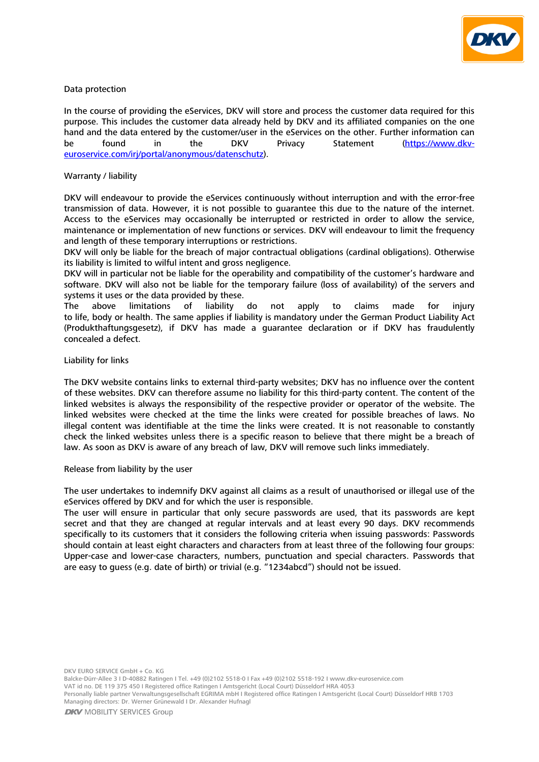

# Data protection

In the course of providing the eServices, DKV will store and process the customer data required for this purpose. This includes the customer data already held by DKV and its affiliated companies on the one hand and the data entered by the customer/user in the eServices on the other. Further information can be found in the DKV Privacy Statement [\(https://www.dkv](https://www.dkv-euroservice.com/irj/portal/anonymous/datenschutz)[euroservice.com/irj/portal/anonymous/datenschutz\).](https://www.dkv-euroservice.com/irj/portal/anonymous/datenschutz)

# Warranty / liability

DKV will endeavour to provide the eServices continuously without interruption and with the error-free transmission of data. However, it is not possible to guarantee this due to the nature of the internet. Access to the eServices may occasionally be interrupted or restricted in order to allow the service, maintenance or implementation of new functions or services. DKV will endeavour to limit the frequency and length of these temporary interruptions or restrictions.

DKV will only be liable for the breach of major contractual obligations (cardinal obligations). Otherwise its liability is limited to wilful intent and gross negligence.

DKV will in particular not be liable for the operability and compatibility of the customer's hardware and software. DKV will also not be liable for the temporary failure (loss of availability) of the servers and systems it uses or the data provided by these.

The above limitations of liability do not apply to claims made for injury to life, body or health. The same applies if liability is mandatory under the German Product Liability Act (Produkthaftungsgesetz), if DKV has made a guarantee declaration or if DKV has fraudulently concealed a defect.

# Liability for links

The DKV website contains links to external third-party websites; DKV has no influence over the content of these websites. DKV can therefore assume no liability for this third-party content. The content of the linked websites is always the responsibility of the respective provider or operator of the website. The linked websites were checked at the time the links were created for possible breaches of laws. No illegal content was identifiable at the time the links were created. It is not reasonable to constantly check the linked websites unless there is a specific reason to believe that there might be a breach of law. As soon as DKV is aware of any breach of law, DKV will remove such links immediately.

# Release from liability by the user

The user undertakes to indemnify DKV against all claims as a result of unauthorised or illegal use of the eServices offered by DKV and for which the user is responsible.

The user will ensure in particular that only secure passwords are used, that its passwords are kept secret and that they are changed at regular intervals and at least every 90 days. DKV recommends specifically to its customers that it considers the following criteria when issuing passwords: Passwords should contain at least eight characters and characters from at least three of the following four groups: Upper-case and lower-case characters, numbers, punctuation and special characters. Passwords that are easy to guess (e.g. date of birth) or trivial (e.g. "1234abcd") should not be issued.

Balcke-Dürr-Allee 3 I D-40882 Ratingen I Tel. +49 (0)2102 5518-0 I Fax +49 (0)2102 5518-192 I www.dkv-euroservice.com VAT id no. DE 119 375 450 I Registered office Ratingen I Amtsgericht (Local Court) Düsseldorf HRA 4053

Personally liable partner Verwaltungsgesellschaft EGRIMA mbH I Registered office Ratingen I Amtsgericht (Local Court) Düsseldorf HRB 1703 Managing directors: Dr. Werner Grünewald I Dr. Alexander Hufnagl